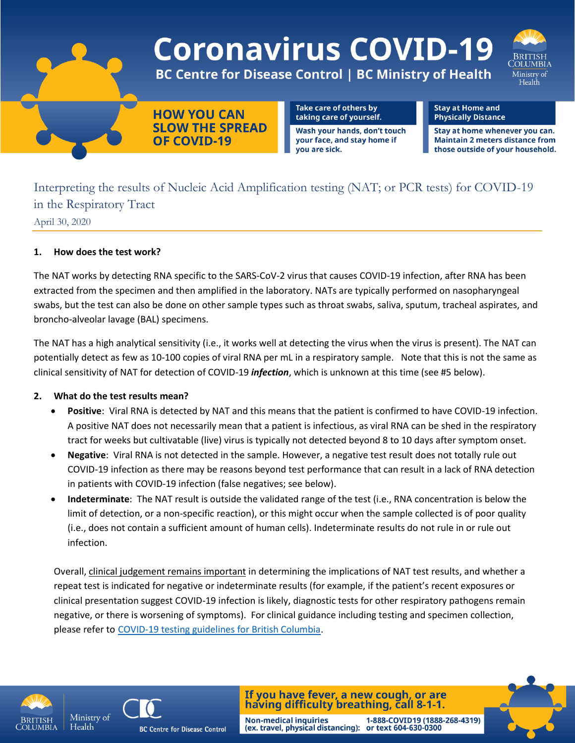

Interpreting the results of Nucleic Acid Amplification testing (NAT; or PCR tests) for COVID-19 in the Respiratory Tract April 30, 2020

## **1. How does the test work?**

The NAT works by detecting RNA specific to the SARS-CoV-2 virus that causes COVID-19 infection, after RNA has been extracted from the specimen and then amplified in the laboratory. NATs are typically performed on nasopharyngeal swabs, but the test can also be done on other sample types such as throat swabs, saliva, sputum, tracheal aspirates, and broncho-alveolar lavage (BAL) specimens.

The NAT has a high analytical sensitivity (i.e., it works well at detecting the virus when the virus is present). The NAT can potentially detect as few as 10-100 copies of viral RNA per mL in a respiratory sample. Note that this is not the same as clinical sensitivity of NAT for detection of COVID-19 *infection*, which is unknown at this time (see #5 below).

## **2. What do the test results mean?**

- **Positive**: Viral RNA is detected by NAT and this means that the patient is confirmed to have COVID-19 infection. A positive NAT does not necessarily mean that a patient is infectious, as viral RNA can be shed in the respiratory tract for weeks but cultivatable (live) virus is typically not detected beyond 8 to 10 days after symptom onset.
- **Negative**: Viral RNA is not detected in the sample. However, a negative test result does not totally rule out COVID-19 infection as there may be reasons beyond test performance that can result in a lack of RNA detection in patients with COVID-19 infection (false negatives; see below).
- **Indeterminate**: The NAT result is outside the validated range of the test (i.e., RNA concentration is below the limit of detection, or a non-specific reaction), or this might occur when the sample collected is of poor quality (i.e., does not contain a sufficient amount of human cells). Indeterminate results do not rule in or rule out infection.

Overall, clinical judgement remains important in determining the implications of NAT test results, and whether a repeat test is indicated for negative or indeterminate results (for example, if the patient's recent exposures or clinical presentation suggest COVID-19 infection is likely, diagnostic tests for other respiratory pathogens remain negative, or there is worsening of symptoms). For clinical guidance including testing and specimen collection, please refer to [COVID-19 testing guidelines for British Columbia](http://www.bccdc.ca/Health-Professionals-Site/Documents/BCCDC_PHL_Updated_nCoV_Lab_Guidance.pdf).

**Non-medical inquiries** 





**BC Centre for Disease Control** 

If you have fever, a new cough, or are having difficulty breathing, call 8-1-1.

(ex. travel, physical distancing): or text 604-630-0300

1-888-COVID19 (1888-268-4319)